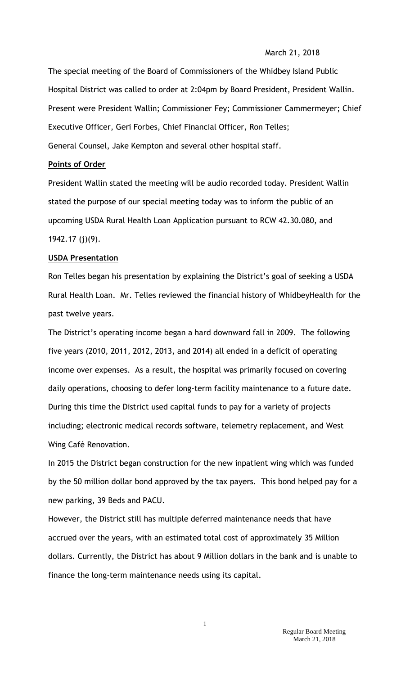## March 21, 2018

The special meeting of the Board of Commissioners of the Whidbey Island Public Hospital District was called to order at 2:04pm by Board President, President Wallin. Present were President Wallin; Commissioner Fey; Commissioner Cammermeyer; Chief Executive Officer, Geri Forbes, Chief Financial Officer, Ron Telles; General Counsel, Jake Kempton and several other hospital staff.

## **Points of Order**

President Wallin stated the meeting will be audio recorded today. President Wallin stated the purpose of our special meeting today was to inform the public of an upcoming USDA Rural Health Loan Application pursuant to RCW 42.30.080, and 1942.17 (j)(9).

#### **USDA Presentation**

Ron Telles began his presentation by explaining the District's goal of seeking a USDA Rural Health Loan. Mr. Telles reviewed the financial history of WhidbeyHealth for the past twelve years.

The District's operating income began a hard downward fall in 2009. The following five years (2010, 2011, 2012, 2013, and 2014) all ended in a deficit of operating income over expenses. As a result, the hospital was primarily focused on covering daily operations, choosing to defer long-term facility maintenance to a future date. During this time the District used capital funds to pay for a variety of projects including; electronic medical records software, telemetry replacement, and West Wing Café Renovation.

In 2015 the District began construction for the new inpatient wing which was funded by the 50 million dollar bond approved by the tax payers. This bond helped pay for a new parking, 39 Beds and PACU.

However, the District still has multiple deferred maintenance needs that have accrued over the years, with an estimated total cost of approximately 35 Million dollars. Currently, the District has about 9 Million dollars in the bank and is unable to finance the long-term maintenance needs using its capital.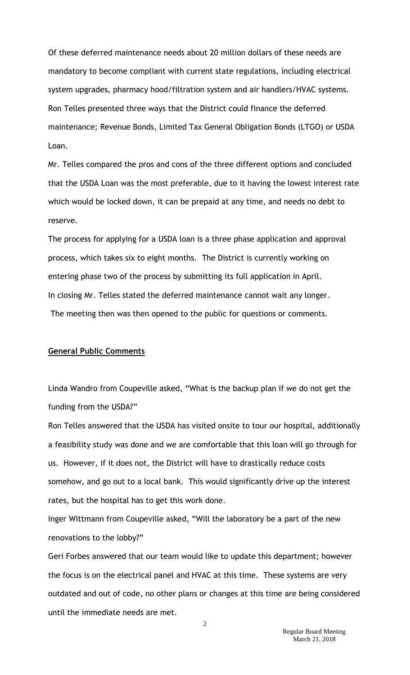Of these deferred maintenance needs about 20 million dollars of these needs are mandatory to become compliant with current state regulations, including electrical system upgrades, pharmacy hood/filtration system and air handlers/HVAC systems. Ron Telles presented three ways that the District could finance the deferred maintenance; Revenue Bonds, Limited Tax General Obligation Bonds (LTGO) or USDA Loan.

Mr. Telles compared the pros and cons of the three different options and concluded that the USDA Loan was the most preferable, due to it having the lowest interest rate which would be locked down, it can be prepaid at any time, and needs no debt to reserve.

The process for applying for a USDA loan is a three phase application and approval process, which takes six to eight months. The District is currently working on entering phase two of the process by submitting its full application in April. In closing Mr. Telles stated the deferred maintenance cannot wait any longer. The meeting then was then opened to the public for questions or comments.

#### **General Public Comments**

Linda Wandro from Coupeville asked, "What is the backup plan if we do not get the funding from the USDA?"

Ron Telles answered that the USDA has visited onsite to tour our hospital, additionally a feasibility study was done and we are comfortable that this loan will go through for us. However, if it does not, the District will have to drastically reduce costs somehow, and go out to a local bank. This would significantly drive up the interest rates, but the hospital has to get this work done.

Inger Wittmann from Coupeville asked, "Will the laboratory be a part of the new renovations to the lobby?"

Geri Forbes answered that our team would like to update this department; however the focus is on the electrical panel and HVAC at this time. These systems are very outdated and out of code, no other plans or changes at this time are being considered until the immediate needs are met.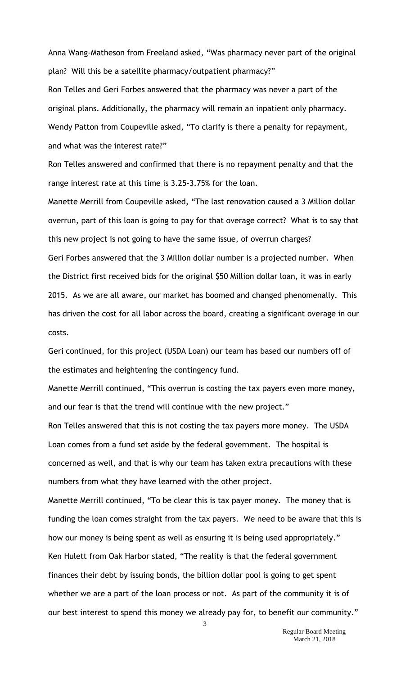Anna Wang-Matheson from Freeland asked, "Was pharmacy never part of the original plan? Will this be a satellite pharmacy/outpatient pharmacy?"

Ron Telles and Geri Forbes answered that the pharmacy was never a part of the original plans. Additionally, the pharmacy will remain an inpatient only pharmacy. Wendy Patton from Coupeville asked, "To clarify is there a penalty for repayment, and what was the interest rate?"

Ron Telles answered and confirmed that there is no repayment penalty and that the range interest rate at this time is 3.25-3.75% for the loan.

Manette Merrill from Coupeville asked, "The last renovation caused a 3 Million dollar overrun, part of this loan is going to pay for that overage correct? What is to say that this new project is not going to have the same issue, of overrun charges? Geri Forbes answered that the 3 Million dollar number is a projected number. When the District first received bids for the original \$50 Million dollar loan, it was in early 2015. As we are all aware, our market has boomed and changed phenomenally. This has driven the cost for all labor across the board, creating a significant overage in our costs.

Geri continued, for this project (USDA Loan) our team has based our numbers off of the estimates and heightening the contingency fund.

Manette Merrill continued, "This overrun is costing the tax payers even more money, and our fear is that the trend will continue with the new project."

Ron Telles answered that this is not costing the tax payers more money. The USDA Loan comes from a fund set aside by the federal government. The hospital is concerned as well, and that is why our team has taken extra precautions with these numbers from what they have learned with the other project.

Manette Merrill continued, "To be clear this is tax payer money. The money that is funding the loan comes straight from the tax payers. We need to be aware that this is how our money is being spent as well as ensuring it is being used appropriately." Ken Hulett from Oak Harbor stated, "The reality is that the federal government finances their debt by issuing bonds, the billion dollar pool is going to get spent whether we are a part of the loan process or not. As part of the community it is of our best interest to spend this money we already pay for, to benefit our community."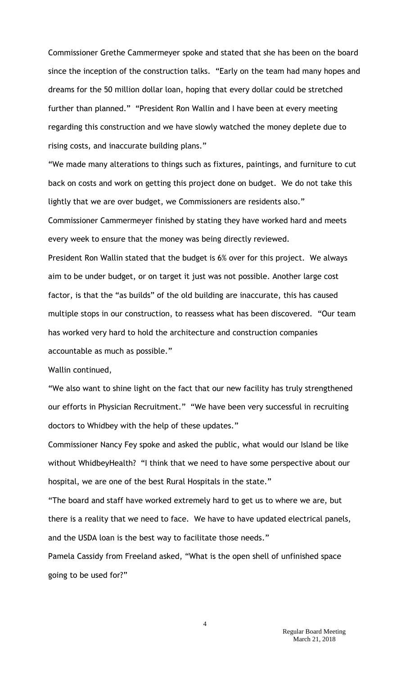Commissioner Grethe Cammermeyer spoke and stated that she has been on the board since the inception of the construction talks. "Early on the team had many hopes and dreams for the 50 million dollar loan, hoping that every dollar could be stretched further than planned." "President Ron Wallin and I have been at every meeting regarding this construction and we have slowly watched the money deplete due to rising costs, and inaccurate building plans."

"We made many alterations to things such as fixtures, paintings, and furniture to cut back on costs and work on getting this project done on budget. We do not take this lightly that we are over budget, we Commissioners are residents also." Commissioner Cammermeyer finished by stating they have worked hard and meets every week to ensure that the money was being directly reviewed.

President Ron Wallin stated that the budget is 6% over for this project. We always aim to be under budget, or on target it just was not possible. Another large cost factor, is that the "as builds" of the old building are inaccurate, this has caused multiple stops in our construction, to reassess what has been discovered. "Our team has worked very hard to hold the architecture and construction companies accountable as much as possible."

Wallin continued,

"We also want to shine light on the fact that our new facility has truly strengthened our efforts in Physician Recruitment." "We have been very successful in recruiting doctors to Whidbey with the help of these updates."

Commissioner Nancy Fey spoke and asked the public, what would our Island be like without WhidbeyHealth? "I think that we need to have some perspective about our hospital, we are one of the best Rural Hospitals in the state."

"The board and staff have worked extremely hard to get us to where we are, but there is a reality that we need to face. We have to have updated electrical panels, and the USDA loan is the best way to facilitate those needs."

Pamela Cassidy from Freeland asked, "What is the open shell of unfinished space going to be used for?"